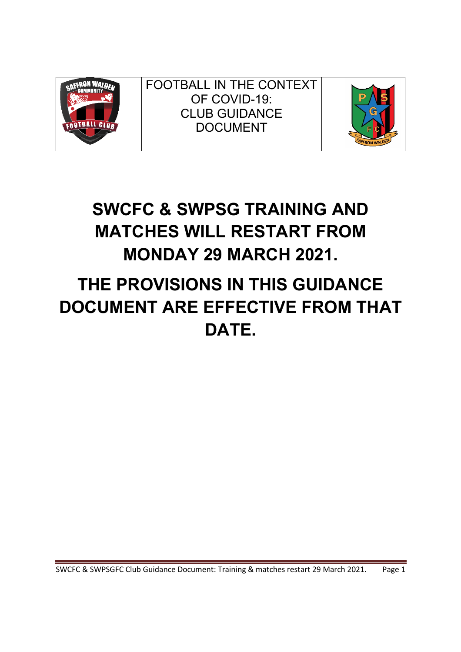

FOOTBALL IN THE CONTEXT OF COVID-19: CLUB GUIDANCE DOCUMENT



## **SWCFC & SWPSG TRAINING AND MATCHES WILL RESTART FROM MONDAY 29 MARCH 2021.**

# **THE PROVISIONS IN THIS GUIDANCE DOCUMENT ARE EFFECTIVE FROM THAT DATE.**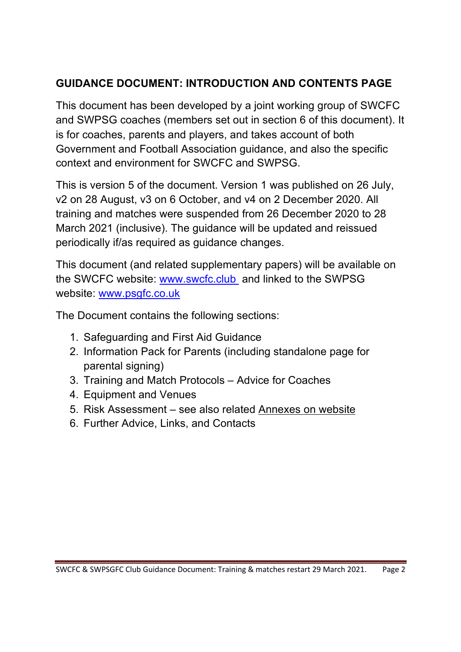## **GUIDANCE DOCUMENT: INTRODUCTION AND CONTENTS PAGE**

This document has been developed by a joint working group of SWCFC and SWPSG coaches (members set out in section 6 of this document). It is for coaches, parents and players, and takes account of both Government and Football Association guidance, and also the specific context and environment for SWCFC and SWPSG.

This is version 5 of the document. Version 1 was published on 26 July, v2 on 28 August, v3 on 6 October, and v4 on 2 December 2020. All training and matches were suspended from 26 December 2020 to 28 March 2021 (inclusive). The guidance will be updated and reissued periodically if/as required as guidance changes.

This document (and related supplementary papers) will be available on the SWCFC website: www.swcfc.club and linked to the SWPSG website: www.psgfc.co.uk

The Document contains the following sections:

- 1. Safeguarding and First Aid Guidance
- 2. Information Pack for Parents (including standalone page for parental signing)
- 3. Training and Match Protocols Advice for Coaches
- 4. Equipment and Venues
- 5. Risk Assessment see also related Annexes on website
- 6. Further Advice, Links, and Contacts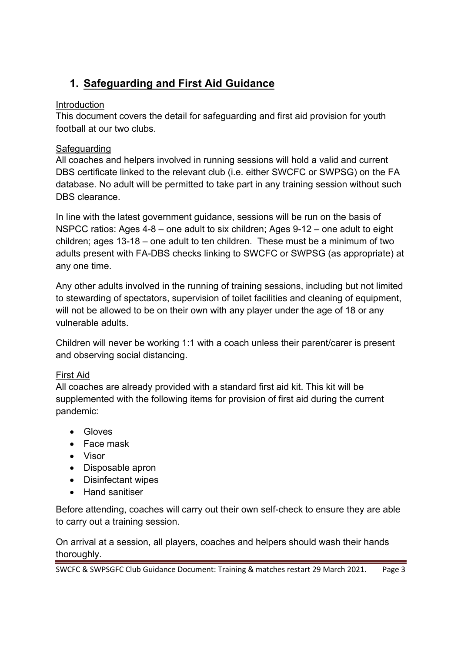## **1. Safeguarding and First Aid Guidance**

#### Introduction

This document covers the detail for safeguarding and first aid provision for youth football at our two clubs.

#### **Safeguarding**

All coaches and helpers involved in running sessions will hold a valid and current DBS certificate linked to the relevant club (i.e. either SWCFC or SWPSG) on the FA database. No adult will be permitted to take part in any training session without such DBS clearance.

In line with the latest government guidance, sessions will be run on the basis of NSPCC ratios: Ages 4-8 – one adult to six children; Ages 9-12 – one adult to eight children; ages 13-18 – one adult to ten children. These must be a minimum of two adults present with FA-DBS checks linking to SWCFC or SWPSG (as appropriate) at any one time.

Any other adults involved in the running of training sessions, including but not limited to stewarding of spectators, supervision of toilet facilities and cleaning of equipment, will not be allowed to be on their own with any player under the age of 18 or any vulnerable adults.

Children will never be working 1:1 with a coach unless their parent/carer is present and observing social distancing.

#### First Aid

All coaches are already provided with a standard first aid kit. This kit will be supplemented with the following items for provision of first aid during the current pandemic:

- Gloves
- Face mask
- Visor
- Disposable apron
- Disinfectant wipes
- Hand sanitiser

Before attending, coaches will carry out their own self-check to ensure they are able to carry out a training session.

On arrival at a session, all players, coaches and helpers should wash their hands thoroughly.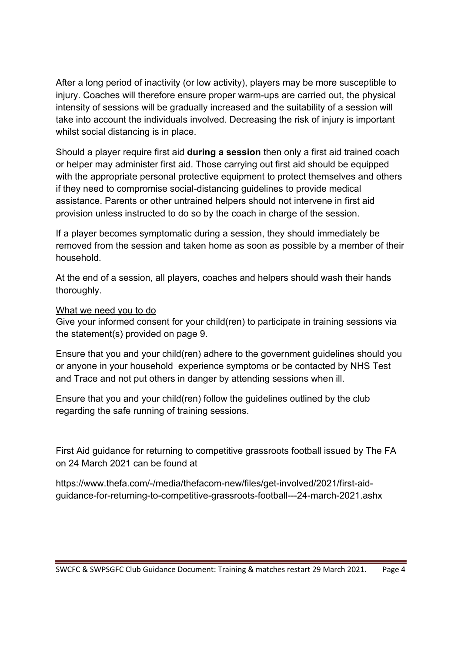After a long period of inactivity (or low activity), players may be more susceptible to injury. Coaches will therefore ensure proper warm-ups are carried out, the physical intensity of sessions will be gradually increased and the suitability of a session will take into account the individuals involved. Decreasing the risk of injury is important whilst social distancing is in place.

Should a player require first aid **during a session** then only a first aid trained coach or helper may administer first aid. Those carrying out first aid should be equipped with the appropriate personal protective equipment to protect themselves and others if they need to compromise social-distancing guidelines to provide medical assistance. Parents or other untrained helpers should not intervene in first aid provision unless instructed to do so by the coach in charge of the session.

If a player becomes symptomatic during a session, they should immediately be removed from the session and taken home as soon as possible by a member of their household.

At the end of a session, all players, coaches and helpers should wash their hands thoroughly.

#### What we need you to do

Give your informed consent for your child(ren) to participate in training sessions via the statement(s) provided on page 9.

Ensure that you and your child(ren) adhere to the government guidelines should you or anyone in your household experience symptoms or be contacted by NHS Test and Trace and not put others in danger by attending sessions when ill.

Ensure that you and your child(ren) follow the guidelines outlined by the club regarding the safe running of training sessions.

First Aid guidance for returning to competitive grassroots football issued by The FA on 24 March 2021 can be found at

https://www.thefa.com/-/media/thefacom-new/files/get-involved/2021/first-aidguidance-for-returning-to-competitive-grassroots-football---24-march-2021.ashx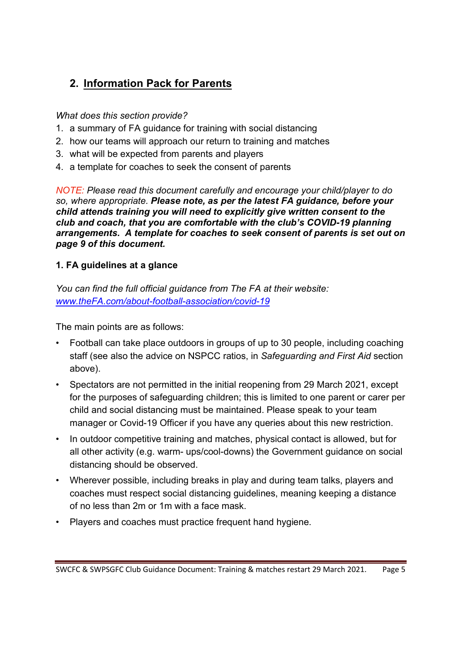## **2. Information Pack for Parents**

#### *What does this section provide?*

- 1. a summary of FA guidance for training with social distancing
- 2. how our teams will approach our return to training and matches
- 3. what will be expected from parents and players
- 4. a template for coaches to seek the consent of parents

*NOTE: Please read this document carefully and encourage your child/player to do so, where appropriate. Please note, as per the latest FA guidance, before your child attends training you will need to explicitly give written consent to the club and coach, that you are comfortable with the club's COVID-19 planning arrangements. A template for coaches to seek consent of parents is set out on page 9 of this document.*

#### **1. FA guidelines at a glance**

*You can find the full official guidance from The FA at their website: www.theFA.com/about-football-association/covid-19*

The main points are as follows:

- Football can take place outdoors in groups of up to 30 people, including coaching staff (see also the advice on NSPCC ratios, in *Safeguarding and First Aid* section above).
- Spectators are not permitted in the initial reopening from 29 March 2021, except for the purposes of safeguarding children; this is limited to one parent or carer per child and social distancing must be maintained. Please speak to your team manager or Covid-19 Officer if you have any queries about this new restriction.
- In outdoor competitive training and matches, physical contact is allowed, but for all other activity (e.g. warm- ups/cool-downs) the Government guidance on social distancing should be observed.
- Wherever possible, including breaks in play and during team talks, players and coaches must respect social distancing guidelines, meaning keeping a distance of no less than 2m or 1m with a face mask.
- Players and coaches must practice frequent hand hygiene.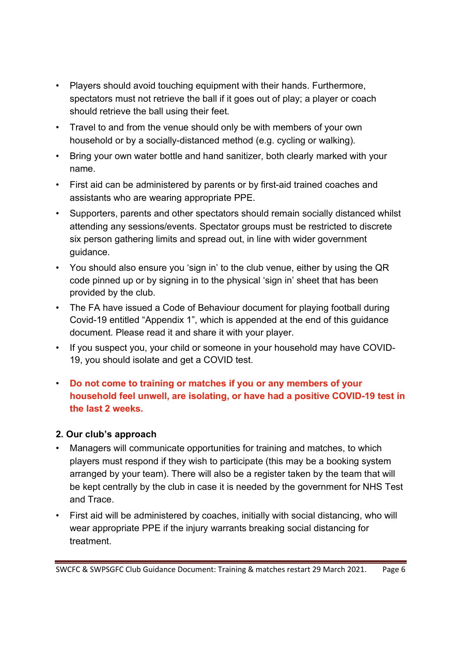- Players should avoid touching equipment with their hands. Furthermore, spectators must not retrieve the ball if it goes out of play; a player or coach should retrieve the ball using their feet.
- Travel to and from the venue should only be with members of your own household or by a socially-distanced method (e.g. cycling or walking).
- Bring your own water bottle and hand sanitizer, both clearly marked with your name.
- First aid can be administered by parents or by first-aid trained coaches and assistants who are wearing appropriate PPE.
- Supporters, parents and other spectators should remain socially distanced whilst attending any sessions/events. Spectator groups must be restricted to discrete six person gathering limits and spread out, in line with wider government guidance.
- You should also ensure you 'sign in' to the club venue, either by using the QR code pinned up or by signing in to the physical 'sign in' sheet that has been provided by the club.
- The FA have issued a Code of Behaviour document for playing football during Covid-19 entitled "Appendix 1", which is appended at the end of this guidance document. Please read it and share it with your player.
- If you suspect you, your child or someone in your household may have COVID-19, you should isolate and get a COVID test.
- **Do not come to training or matches if you or any members of your household feel unwell, are isolating, or have had a positive COVID-19 test in the last 2 weeks.**

#### **2. Our club's approach**

- Managers will communicate opportunities for training and matches, to which players must respond if they wish to participate (this may be a booking system arranged by your team). There will also be a register taken by the team that will be kept centrally by the club in case it is needed by the government for NHS Test and Trace.
- First aid will be administered by coaches, initially with social distancing, who will wear appropriate PPE if the injury warrants breaking social distancing for treatment.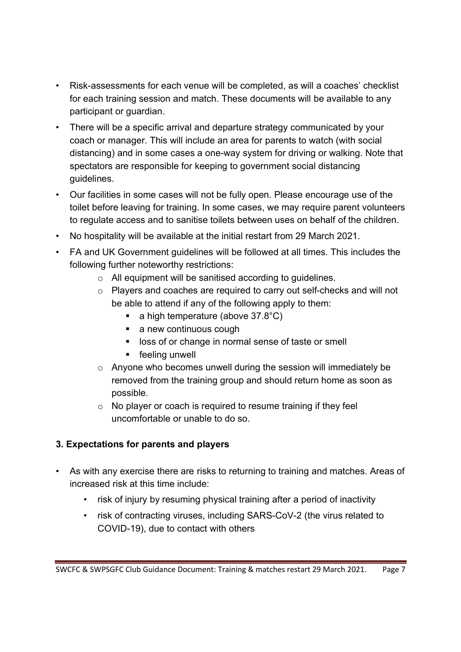- Risk-assessments for each venue will be completed, as will a coaches' checklist for each training session and match. These documents will be available to any participant or guardian.
- There will be a specific arrival and departure strategy communicated by your coach or manager. This will include an area for parents to watch (with social distancing) and in some cases a one-way system for driving or walking. Note that spectators are responsible for keeping to government social distancing guidelines.
- Our facilities in some cases will not be fully open. Please encourage use of the toilet before leaving for training. In some cases, we may require parent volunteers to regulate access and to sanitise toilets between uses on behalf of the children.
- No hospitality will be available at the initial restart from 29 March 2021.
- FA and UK Government guidelines will be followed at all times. This includes the following further noteworthy restrictions:
	- o All equipment will be sanitised according to guidelines.
	- o Players and coaches are required to carry out self-checks and will not be able to attend if any of the following apply to them:
		- **a** high temperature (above  $37.8^{\circ}$ C)
		- a new continuous cough
		- loss of or change in normal sense of taste or smell
		- feeling unwell
	- o Anyone who becomes unwell during the session will immediately be removed from the training group and should return home as soon as possible.
	- o No player or coach is required to resume training if they feel uncomfortable or unable to do so.

#### **3. Expectations for parents and players**

- As with any exercise there are risks to returning to training and matches. Areas of increased risk at this time include:
	- risk of injury by resuming physical training after a period of inactivity
	- risk of contracting viruses, including SARS-CoV-2 (the virus related to COVID-19), due to contact with others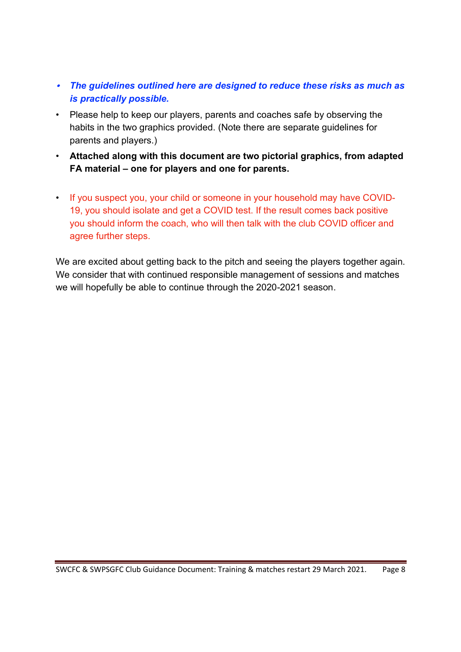- *The guidelines outlined here are designed to reduce these risks as much as is practically possible.*
- Please help to keep our players, parents and coaches safe by observing the habits in the two graphics provided. (Note there are separate guidelines for parents and players.)
- **Attached along with this document are two pictorial graphics, from adapted FA material – one for players and one for parents.**
- If you suspect you, your child or someone in your household may have COVID-19, you should isolate and get a COVID test. If the result comes back positive you should inform the coach, who will then talk with the club COVID officer and agree further steps.

We are excited about getting back to the pitch and seeing the players together again. We consider that with continued responsible management of sessions and matches we will hopefully be able to continue through the 2020-2021 season.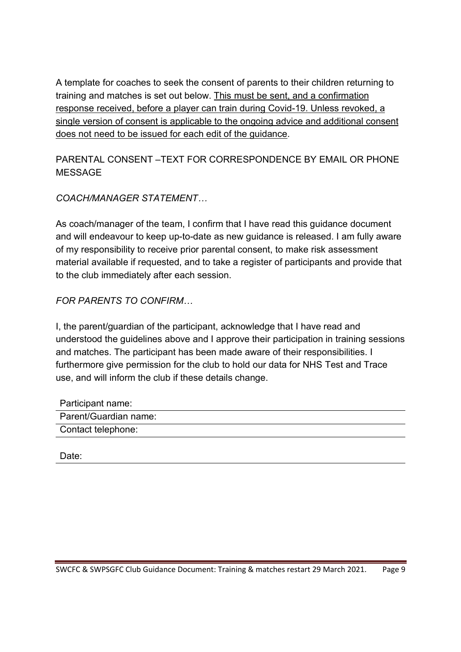A template for coaches to seek the consent of parents to their children returning to training and matches is set out below. This must be sent, and a confirmation response received, before a player can train during Covid-19. Unless revoked, a single version of consent is applicable to the ongoing advice and additional consent does not need to be issued for each edit of the guidance.

PARENTAL CONSENT –TEXT FOR CORRESPONDENCE BY EMAIL OR PHONE MESSAGE

*COACH/MANAGER STATEMENT…*

As coach/manager of the team, I confirm that I have read this guidance document and will endeavour to keep up-to-date as new guidance is released. I am fully aware of my responsibility to receive prior parental consent, to make risk assessment material available if requested, and to take a register of participants and provide that to the club immediately after each session.

*FOR PARENTS TO CONFIRM…*

I, the parent/guardian of the participant, acknowledge that I have read and understood the guidelines above and I approve their participation in training sessions and matches. The participant has been made aware of their responsibilities. I furthermore give permission for the club to hold our data for NHS Test and Trace use, and will inform the club if these details change.

| Participant name:     |
|-----------------------|
| Parent/Guardian name: |
| Contact telephone:    |

Date: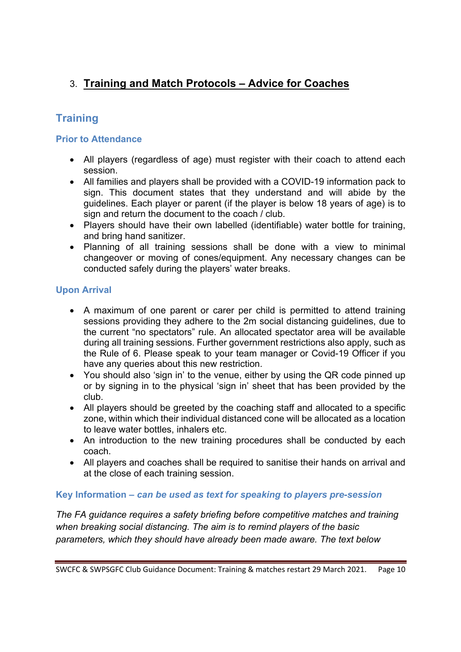## 3. **Training and Match Protocols – Advice for Coaches**

## **Training**

#### **Prior to Attendance**

- All players (regardless of age) must register with their coach to attend each session.
- All families and players shall be provided with a COVID-19 information pack to sign. This document states that they understand and will abide by the guidelines. Each player or parent (if the player is below 18 years of age) is to sign and return the document to the coach / club.
- Players should have their own labelled (identifiable) water bottle for training, and bring hand sanitizer.
- Planning of all training sessions shall be done with a view to minimal changeover or moving of cones/equipment. Any necessary changes can be conducted safely during the players' water breaks.

#### **Upon Arrival**

- A maximum of one parent or carer per child is permitted to attend training sessions providing they adhere to the 2m social distancing guidelines, due to the current "no spectators" rule. An allocated spectator area will be available during all training sessions. Further government restrictions also apply, such as the Rule of 6. Please speak to your team manager or Covid-19 Officer if you have any queries about this new restriction.
- You should also 'sign in' to the venue, either by using the QR code pinned up or by signing in to the physical 'sign in' sheet that has been provided by the club.
- All players should be greeted by the coaching staff and allocated to a specific zone, within which their individual distanced cone will be allocated as a location to leave water bottles, inhalers etc.
- An introduction to the new training procedures shall be conducted by each coach.
- All players and coaches shall be required to sanitise their hands on arrival and at the close of each training session.

#### **Key Information –** *can be used as text for speaking to players pre-session*

*The FA guidance requires a safety briefing before competitive matches and training when breaking social distancing. The aim is to remind players of the basic parameters, which they should have already been made aware. The text below*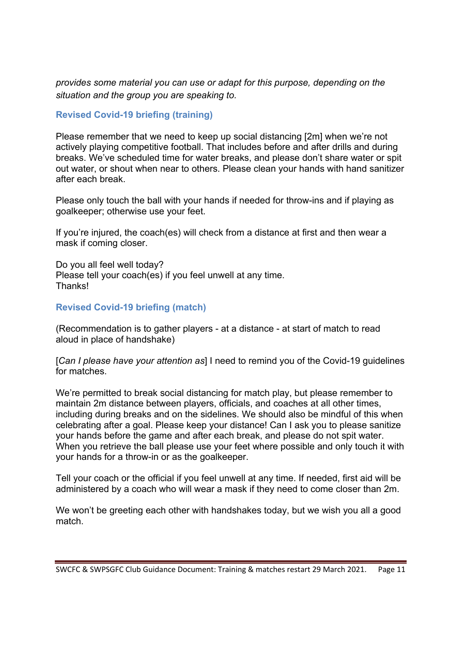*provides some material you can use or adapt for this purpose, depending on the situation and the group you are speaking to.* 

#### **Revised Covid-19 briefing (training)**

Please remember that we need to keep up social distancing [2m] when we're not actively playing competitive football. That includes before and after drills and during breaks. We've scheduled time for water breaks, and please don't share water or spit out water, or shout when near to others. Please clean your hands with hand sanitizer after each break.

Please only touch the ball with your hands if needed for throw-ins and if playing as goalkeeper; otherwise use your feet.

If you're injured, the coach(es) will check from a distance at first and then wear a mask if coming closer.

Do you all feel well today? Please tell your coach(es) if you feel unwell at any time. Thanks!

#### **Revised Covid-19 briefing (match)**

(Recommendation is to gather players - at a distance - at start of match to read aloud in place of handshake)

[*Can I please have your attention as*] I need to remind you of the Covid-19 guidelines for matches.

We're permitted to break social distancing for match play, but please remember to maintain 2m distance between players, officials, and coaches at all other times, including during breaks and on the sidelines. We should also be mindful of this when celebrating after a goal. Please keep your distance! Can I ask you to please sanitize your hands before the game and after each break, and please do not spit water. When you retrieve the ball please use your feet where possible and only touch it with your hands for a throw-in or as the goalkeeper.

Tell your coach or the official if you feel unwell at any time. If needed, first aid will be administered by a coach who will wear a mask if they need to come closer than 2m.

We won't be greeting each other with handshakes today, but we wish you all a good match.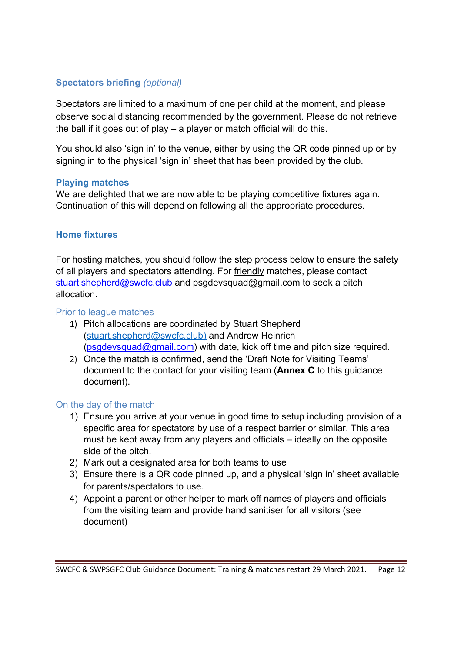#### **Spectators briefing** *(optional)*

Spectators are limited to a maximum of one per child at the moment, and please observe social distancing recommended by the government. Please do not retrieve the ball if it goes out of play – a player or match official will do this.

You should also 'sign in' to the venue, either by using the QR code pinned up or by signing in to the physical 'sign in' sheet that has been provided by the club.

#### **Playing matches**

We are delighted that we are now able to be playing competitive fixtures again. Continuation of this will depend on following all the appropriate procedures.

#### **Home fixtures**

For hosting matches, you should follow the step process below to ensure the safety of all players and spectators attending. For friendly matches, please contact stuart.shepherd@swcfc.club and psgdevsquad@gmail.com to seek a pitch allocation.

#### Prior to league matches

- 1) Pitch allocations are coordinated by Stuart Shepherd (stuart.shepherd@swcfc.club) and Andrew Heinrich (psgdevsquad@gmail.com) with date, kick off time and pitch size required.
- 2) Once the match is confirmed, send the 'Draft Note for Visiting Teams' document to the contact for your visiting team (**Annex C** to this guidance document).

#### On the day of the match

- 1) Ensure you arrive at your venue in good time to setup including provision of a specific area for spectators by use of a respect barrier or similar. This area must be kept away from any players and officials – ideally on the opposite side of the pitch.
- 2) Mark out a designated area for both teams to use
- 3) Ensure there is a QR code pinned up, and a physical 'sign in' sheet available for parents/spectators to use.
- 4) Appoint a parent or other helper to mark off names of players and officials from the visiting team and provide hand sanitiser for all visitors (see document)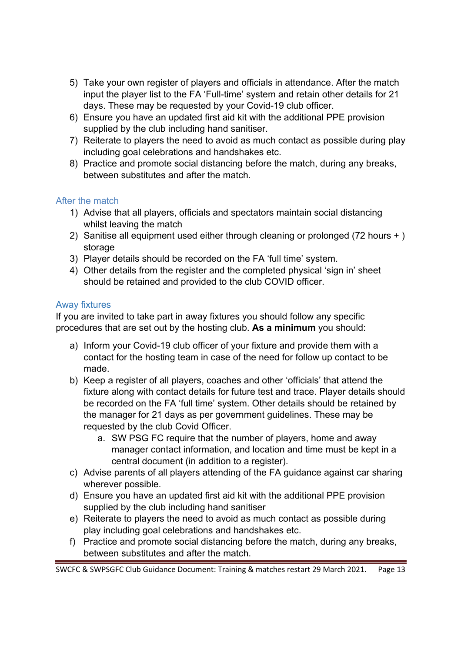- 5) Take your own register of players and officials in attendance. After the match input the player list to the FA 'Full-time' system and retain other details for 21 days. These may be requested by your Covid-19 club officer.
- 6) Ensure you have an updated first aid kit with the additional PPE provision supplied by the club including hand sanitiser.
- 7) Reiterate to players the need to avoid as much contact as possible during play including goal celebrations and handshakes etc.
- 8) Practice and promote social distancing before the match, during any breaks, between substitutes and after the match.

#### After the match

- 1) Advise that all players, officials and spectators maintain social distancing whilst leaving the match
- 2) Sanitise all equipment used either through cleaning or prolonged (72 hours + ) storage
- 3) Player details should be recorded on the FA 'full time' system.
- 4) Other details from the register and the completed physical 'sign in' sheet should be retained and provided to the club COVID officer.

#### Away fixtures

If you are invited to take part in away fixtures you should follow any specific procedures that are set out by the hosting club. **As a minimum** you should:

- a) Inform your Covid-19 club officer of your fixture and provide them with a contact for the hosting team in case of the need for follow up contact to be made.
- b) Keep a register of all players, coaches and other 'officials' that attend the fixture along with contact details for future test and trace. Player details should be recorded on the FA 'full time' system. Other details should be retained by the manager for 21 days as per government guidelines. These may be requested by the club Covid Officer.
	- a. SW PSG FC require that the number of players, home and away manager contact information, and location and time must be kept in a central document (in addition to a register).
- c) Advise parents of all players attending of the FA guidance against car sharing wherever possible.
- d) Ensure you have an updated first aid kit with the additional PPE provision supplied by the club including hand sanitiser
- e) Reiterate to players the need to avoid as much contact as possible during play including goal celebrations and handshakes etc.
- f) Practice and promote social distancing before the match, during any breaks, between substitutes and after the match.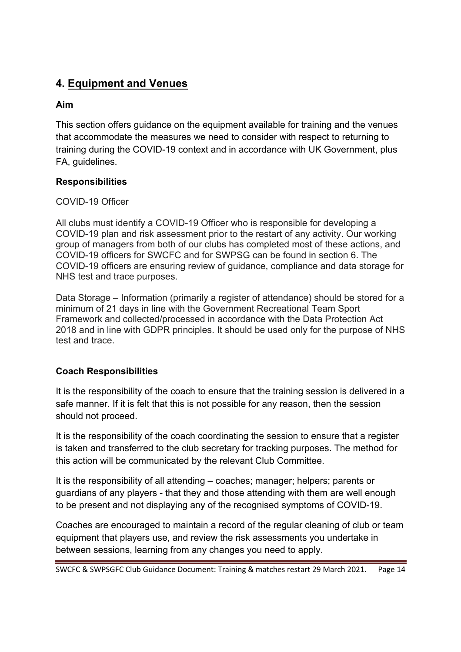## **4. Equipment and Venues**

#### **Aim**

This section offers guidance on the equipment available for training and the venues that accommodate the measures we need to consider with respect to returning to training during the COVID-19 context and in accordance with UK Government, plus FA, guidelines.

#### **Responsibilities**

#### COVID-19 Officer

All clubs must identify a COVID-19 Officer who is responsible for developing a COVID-19 plan and risk assessment prior to the restart of any activity. Our working group of managers from both of our clubs has completed most of these actions, and COVID-19 officers for SWCFC and for SWPSG can be found in section 6. The COVID-19 officers are ensuring review of guidance, compliance and data storage for NHS test and trace purposes.

Data Storage – Information (primarily a register of attendance) should be stored for a minimum of 21 days in line with the Government Recreational Team Sport Framework and collected/processed in accordance with the Data Protection Act 2018 and in line with GDPR principles. It should be used only for the purpose of NHS test and trace.

#### **Coach Responsibilities**

It is the responsibility of the coach to ensure that the training session is delivered in a safe manner. If it is felt that this is not possible for any reason, then the session should not proceed.

It is the responsibility of the coach coordinating the session to ensure that a register is taken and transferred to the club secretary for tracking purposes. The method for this action will be communicated by the relevant Club Committee.

It is the responsibility of all attending – coaches; manager; helpers; parents or guardians of any players - that they and those attending with them are well enough to be present and not displaying any of the recognised symptoms of COVID-19.

Coaches are encouraged to maintain a record of the regular cleaning of club or team equipment that players use, and review the risk assessments you undertake in between sessions, learning from any changes you need to apply.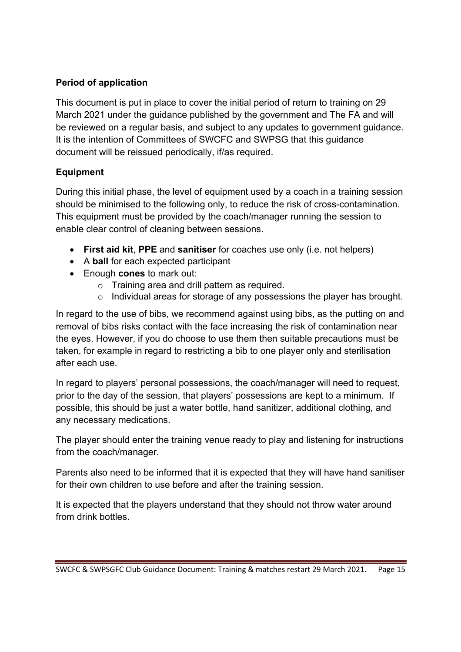#### **Period of application**

This document is put in place to cover the initial period of return to training on 29 March 2021 under the guidance published by the government and The FA and will be reviewed on a regular basis, and subject to any updates to government guidance. It is the intention of Committees of SWCFC and SWPSG that this guidance document will be reissued periodically, if/as required.

#### **Equipment**

During this initial phase, the level of equipment used by a coach in a training session should be minimised to the following only, to reduce the risk of cross-contamination. This equipment must be provided by the coach/manager running the session to enable clear control of cleaning between sessions.

- **First aid kit**, **PPE** and **sanitiser** for coaches use only (i.e. not helpers)
- A **ball** for each expected participant
- Enough **cones** to mark out:
	- $\circ$  Training area and drill pattern as required.
	- o Individual areas for storage of any possessions the player has brought.

In regard to the use of bibs, we recommend against using bibs, as the putting on and removal of bibs risks contact with the face increasing the risk of contamination near the eyes. However, if you do choose to use them then suitable precautions must be taken, for example in regard to restricting a bib to one player only and sterilisation after each use.

In regard to players' personal possessions, the coach/manager will need to request, prior to the day of the session, that players' possessions are kept to a minimum. If possible, this should be just a water bottle, hand sanitizer, additional clothing, and any necessary medications.

The player should enter the training venue ready to play and listening for instructions from the coach/manager.

Parents also need to be informed that it is expected that they will have hand sanitiser for their own children to use before and after the training session.

It is expected that the players understand that they should not throw water around from drink bottles.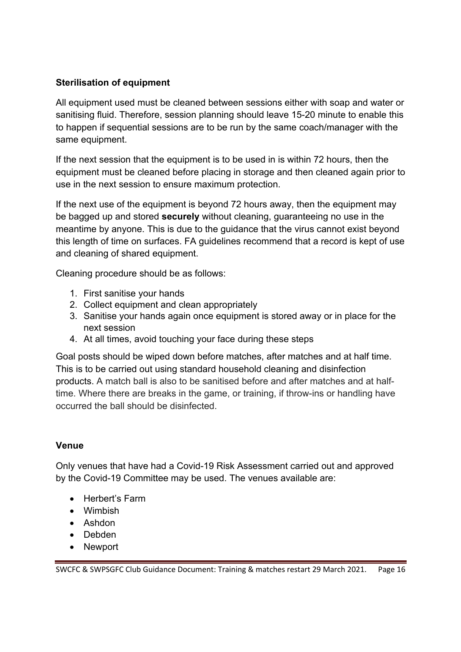#### **Sterilisation of equipment**

All equipment used must be cleaned between sessions either with soap and water or sanitising fluid. Therefore, session planning should leave 15-20 minute to enable this to happen if sequential sessions are to be run by the same coach/manager with the same equipment.

If the next session that the equipment is to be used in is within 72 hours, then the equipment must be cleaned before placing in storage and then cleaned again prior to use in the next session to ensure maximum protection.

If the next use of the equipment is beyond 72 hours away, then the equipment may be bagged up and stored **securely** without cleaning, guaranteeing no use in the meantime by anyone. This is due to the guidance that the virus cannot exist beyond this length of time on surfaces. FA guidelines recommend that a record is kept of use and cleaning of shared equipment.

Cleaning procedure should be as follows:

- 1. First sanitise your hands
- 2. Collect equipment and clean appropriately
- 3. Sanitise your hands again once equipment is stored away or in place for the next session
- 4. At all times, avoid touching your face during these steps

Goal posts should be wiped down before matches, after matches and at half time. This is to be carried out using standard household cleaning and disinfection products. A match ball is also to be sanitised before and after matches and at halftime. Where there are breaks in the game, or training, if throw-ins or handling have occurred the ball should be disinfected.

#### **Venue**

Only venues that have had a Covid-19 Risk Assessment carried out and approved by the Covid-19 Committee may be used. The venues available are:

- Herbert's Farm
- Wimbish
- Ashdon
- Debden
- Newport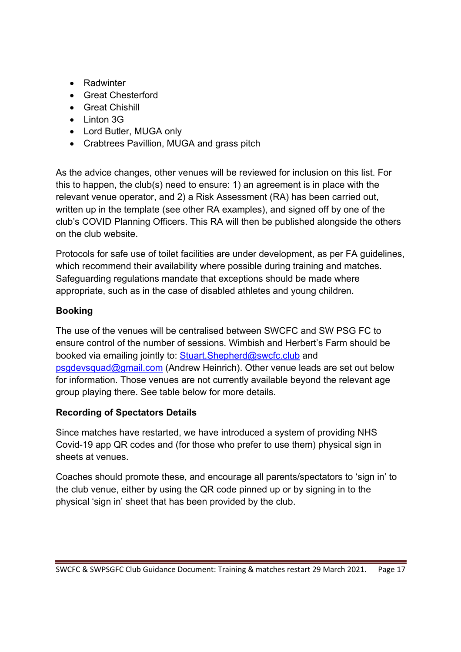- Radwinter
- Great Chesterford
- Great Chishill
- Linton 3G
- Lord Butler, MUGA only
- Crabtrees Pavillion, MUGA and grass pitch

As the advice changes, other venues will be reviewed for inclusion on this list. For this to happen, the club(s) need to ensure: 1) an agreement is in place with the relevant venue operator, and 2) a Risk Assessment (RA) has been carried out, written up in the template (see other RA examples), and signed off by one of the club's COVID Planning Officers. This RA will then be published alongside the others on the club website.

Protocols for safe use of toilet facilities are under development, as per FA guidelines, which recommend their availability where possible during training and matches. Safeguarding regulations mandate that exceptions should be made where appropriate, such as in the case of disabled athletes and young children.

#### **Booking**

The use of the venues will be centralised between SWCFC and SW PSG FC to ensure control of the number of sessions. Wimbish and Herbert's Farm should be booked via emailing jointly to: Stuart.Shepherd@swcfc.club and psgdevsquad@gmail.com (Andrew Heinrich). Other venue leads are set out below for information. Those venues are not currently available beyond the relevant age group playing there. See table below for more details.

#### **Recording of Spectators Details**

Since matches have restarted, we have introduced a system of providing NHS Covid-19 app QR codes and (for those who prefer to use them) physical sign in sheets at venues.

Coaches should promote these, and encourage all parents/spectators to 'sign in' to the club venue, either by using the QR code pinned up or by signing in to the physical 'sign in' sheet that has been provided by the club.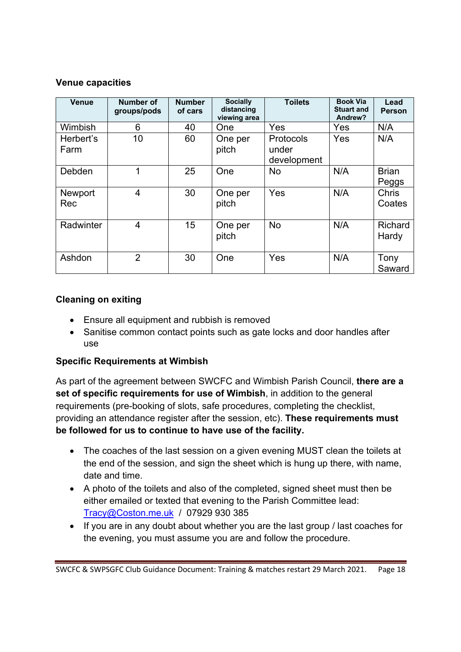#### **Venue capacities**

| <b>Venue</b>          | Number of<br>groups/pods | <b>Number</b><br>of cars | <b>Socially</b><br>distancing<br>viewing area | <b>Toilets</b>                           | <b>Book Via</b><br><b>Stuart and</b><br>Andrew? | Lead<br>Person          |
|-----------------------|--------------------------|--------------------------|-----------------------------------------------|------------------------------------------|-------------------------------------------------|-------------------------|
| Wimbish               | 6                        | 40                       | <b>One</b>                                    | Yes                                      | Yes                                             | N/A                     |
| Herbert's<br>Farm     | 10                       | 60                       | One per<br>pitch                              | <b>Protocols</b><br>under<br>development | Yes                                             | N/A                     |
| Debden                | 1                        | 25                       | One                                           | <b>No</b>                                | N/A                                             | <b>Brian</b><br>Peggs   |
| <b>Newport</b><br>Rec | $\overline{4}$           | 30                       | One per<br>pitch                              | Yes                                      | N/A                                             | <b>Chris</b><br>Coates  |
| Radwinter             | $\overline{4}$           | 15                       | One per<br>pitch                              | <b>No</b>                                | N/A                                             | <b>Richard</b><br>Hardy |
| Ashdon                | $\overline{2}$           | 30                       | One                                           | Yes                                      | N/A                                             | Tony<br>Saward          |

#### **Cleaning on exiting**

- Ensure all equipment and rubbish is removed
- Sanitise common contact points such as gate locks and door handles after use

#### **Specific Requirements at Wimbish**

As part of the agreement between SWCFC and Wimbish Parish Council, **there are a set of specific requirements for use of Wimbish**, in addition to the general requirements (pre-booking of slots, safe procedures, completing the checklist, providing an attendance register after the session, etc). **These requirements must be followed for us to continue to have use of the facility.** 

- The coaches of the last session on a given evening MUST clean the toilets at the end of the session, and sign the sheet which is hung up there, with name, date and time.
- A photo of the toilets and also of the completed, signed sheet must then be either emailed or texted that evening to the Parish Committee lead: Tracy@Coston.me.uk / 07929 930 385
- If you are in any doubt about whether you are the last group / last coaches for the evening, you must assume you are and follow the procedure.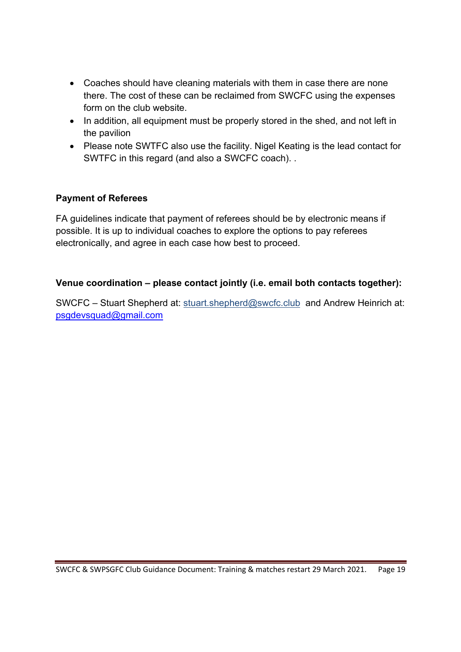- Coaches should have cleaning materials with them in case there are none there. The cost of these can be reclaimed from SWCFC using the expenses form on the club website.
- In addition, all equipment must be properly stored in the shed, and not left in the pavilion
- Please note SWTFC also use the facility. Nigel Keating is the lead contact for SWTFC in this regard (and also a SWCFC coach). .

#### **Payment of Referees**

FA guidelines indicate that payment of referees should be by electronic means if possible. It is up to individual coaches to explore the options to pay referees electronically, and agree in each case how best to proceed.

#### **Venue coordination – please contact jointly (i.e. email both contacts together):**

SWCFC – Stuart Shepherd at: stuart.shepherd@swcfc.club and Andrew Heinrich at: psgdevsquad@gmail.com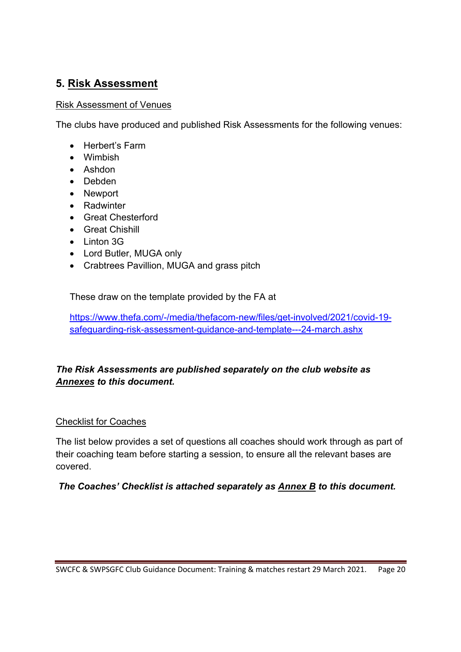## **5. Risk Assessment**

#### Risk Assessment of Venues

The clubs have produced and published Risk Assessments for the following venues:

- Herbert's Farm
- Wimbish
- Ashdon
- Debden
- Newport
- Radwinter
- Great Chesterford
- Great Chishill
- Linton 3G
- Lord Butler, MUGA only
- Crabtrees Pavillion, MUGA and grass pitch

These draw on the template provided by the FA at

https://www.thefa.com/-/media/thefacom-new/files/get-involved/2021/covid-19 safeguarding-risk-assessment-guidance-and-template---24-march.ashx

#### *The Risk Assessments are published separately on the club website as Annexes to this document.*

#### Checklist for Coaches

The list below provides a set of questions all coaches should work through as part of their coaching team before starting a session, to ensure all the relevant bases are covered.

#### *The Coaches' Checklist is attached separately as Annex B to this document.*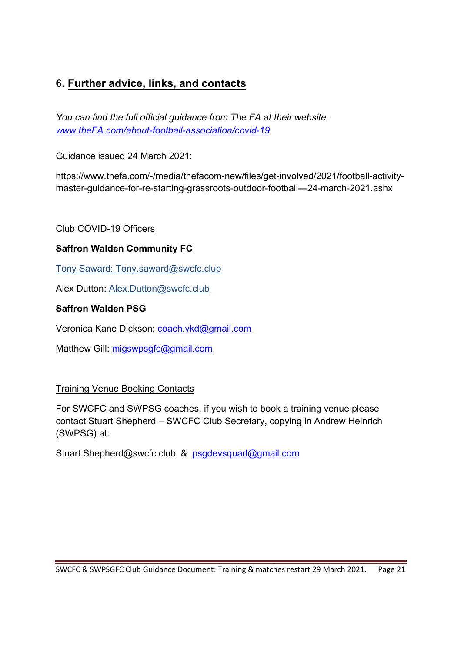## **6. Further advice, links, and contacts**

*You can find the full official guidance from The FA at their website: www.theFA.com/about-football-association/covid-19*

Guidance issued 24 March 2021:

https://www.thefa.com/-/media/thefacom-new/files/get-involved/2021/football-activitymaster-guidance-for-re-starting-grassroots-outdoor-football---24-march-2021.ashx

#### Club COVID-19 Officers

#### **Saffron Walden Community FC**

Tony Saward: Tony.saward@swcfc.club

Alex Dutton: Alex.Dutton@swcfc.club

#### **Saffron Walden PSG**

Veronica Kane Dickson: coach.vkd@gmail.com

Matthew Gill: migswpsgfc@gmail.com

#### Training Venue Booking Contacts

For SWCFC and SWPSG coaches, if you wish to book a training venue please contact Stuart Shepherd – SWCFC Club Secretary, copying in Andrew Heinrich (SWPSG) at:

Stuart.Shepherd@swcfc.club & psgdevsquad@gmail.com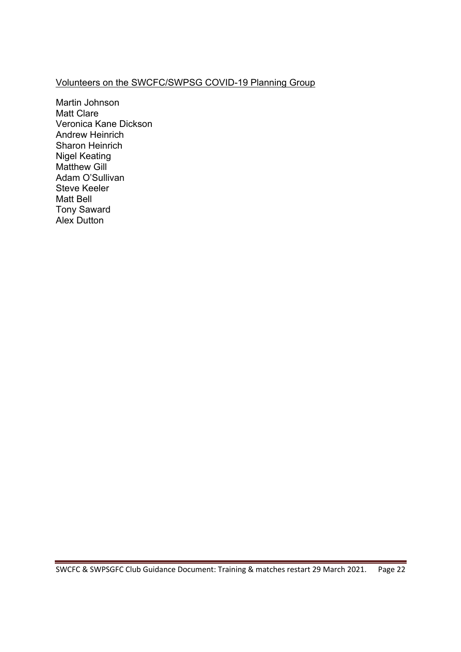### Volunteers on the SWCFC/SWPSG COVID-19 Planning Group

Martin Johnson Matt Clare Veronica Kane Dickson Andrew Heinrich Sharon Heinrich Nigel Keating Matthew Gill Adam O'Sullivan Steve Keeler Matt Bell Tony Saward Alex Dutton